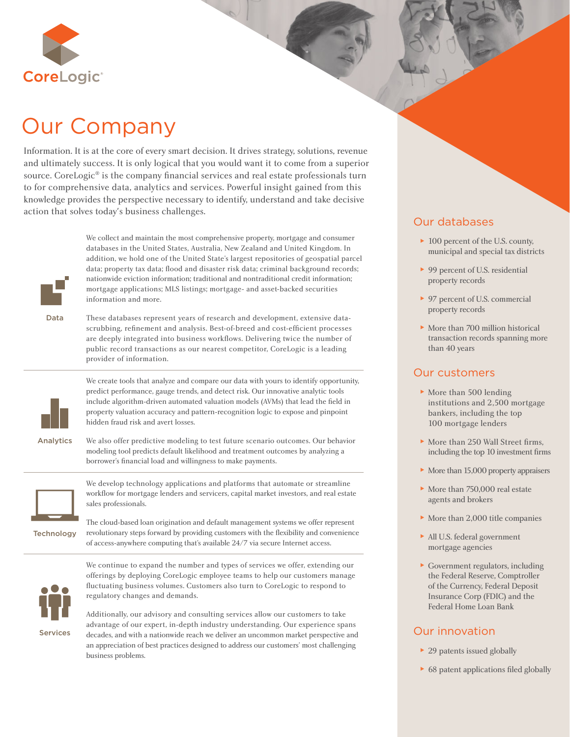

# Our Company

Information. It is at the core of every smart decision. It drives strategy, solutions, revenue and ultimately success. It is only logical that you would want it to come from a superior source. CoreLogic<sup>®</sup> is the company financial services and real estate professionals turn to for comprehensive data, analytics and services. Powerful insight gained from this knowledge provides the perspective necessary to identify, understand and take decisive action that solves today's business challenges.



We collect and maintain the most comprehensive property, mortgage and consumer databases in the United States, Australia, New Zealand and United Kingdom. In addition, we hold one of the United State's largest repositories of geospatial parcel data; property tax data; flood and disaster risk data; criminal background records; nationwide eviction information; traditional and nontraditional credit information; mortgage applications; MLS listings; mortgage- and asset-backed securities information and more.

Data

These databases represent years of research and development, extensive datascrubbing, refinement and analysis. Best-of-breed and cost-efficient processes are deeply integrated into business workflows. Delivering twice the number of public record transactions as our nearest competitor, CoreLogic is a leading provider of information.



We create tools that analyze and compare our data with yours to identify opportunity, predict performance, gauge trends, and detect risk. Our innovative analytic tools include algorithm-driven automated valuation models (AVMs) that lead the field in property valuation accuracy and pattern-recognition logic to expose and pinpoint hidden fraud risk and avert losses.

Analytics

We also offer predictive modeling to test future scenario outcomes. Our behavior modeling tool predicts default likelihood and treatment outcomes by analyzing a borrower's financial load and willingness to make payments.



We develop technology applications and platforms that automate or streamline workflow for mortgage lenders and servicers, capital market investors, and real estate sales professionals.

**Technology** The cloud-based loan origination and default management systems we offer represent revolutionary steps forward by providing customers with the flexibility and convenience of access-anywhere computing that's available 24/7 via secure Internet access.



We continue to expand the number and types of services we offer, extending our offerings by deploying CoreLogic employee teams to help our customers manage fluctuating business volumes. Customers also turn to CoreLogic to respond to regulatory changes and demands.

Additionally, our advisory and consulting services allow our customers to take advantage of our expert, in-depth industry understanding. Our experience spans decades, and with a nationwide reach we deliver an uncommon market perspective and an appreciation of best practices designed to address our customers' most challenging business problems.

# Our databases

- ► 100 percent of the U.S. county, municipal and special tax districts
- ► 99 percent of U.S. residential property records
- ► 97 percent of U.S. commercial property records
- ► More than 700 million historical transaction records spanning more than 40 years

## Our customers

- ► More than 500 lending institutions and 2,500 mortgage bankers, including the top 100 mortgage lenders
- $\triangleright$  More than 250 Wall Street firms, including the top 10 investment firms
- ► More than 15,000 property appraisers
- ► More than 750,000 real estate agents and brokers
- ► More than 2,000 title companies
- ► All U.S. federal government mortgage agencies
- ► Government regulators, including the Federal Reserve, Comptroller of the Currency, Federal Deposit Insurance Corp (FDIC) and the Federal Home Loan Bank

# Our innovation

- ► 29 patents issued globally
- $▶ 68$  patent applications filed globally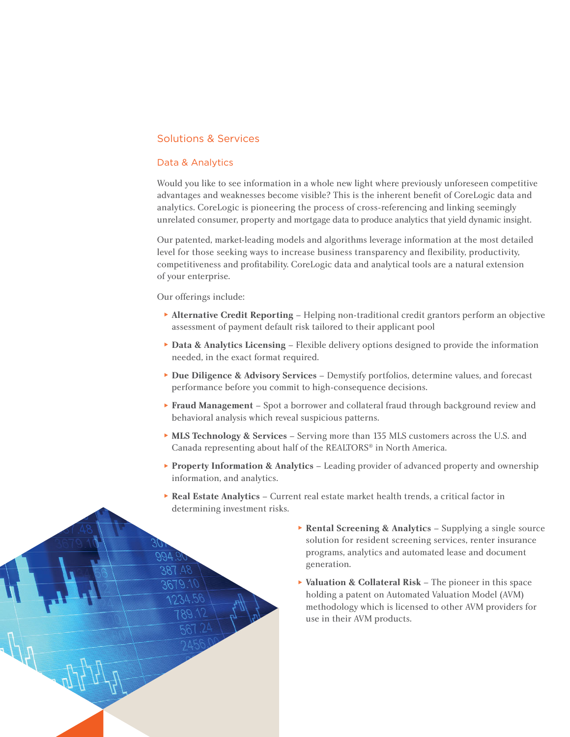## Solutions & Services

#### Data & Analytics

Would you like to see information in a whole new light where previously unforeseen competitive advantages and weaknesses become visible? This is the inherent benefit of CoreLogic data and analytics. CoreLogic is pioneering the process of cross-referencing and linking seemingly unrelated consumer, property and mortgage data to produce analytics that yield dynamic insight.

Our patented, market-leading models and algorithms leverage information at the most detailed level for those seeking ways to increase business transparency and flexibility, productivity, competitiveness and profitability. CoreLogic data and analytical tools are a natural extension of your enterprise.

#### Our offerings include:

- ► **Alternative Credit Reporting**  Helping non-traditional credit grantors perform an objective assessment of payment default risk tailored to their applicant pool
- ► **Data & Analytics Licensing**  Flexible delivery options designed to provide the information needed, in the exact format required.
- ► **Due Diligence & Advisory Services**  Demystify portfolios, determine values, and forecast performance before you commit to high-consequence decisions.
- ► **Fraud Management**  Spot a borrower and collateral fraud through background review and behavioral analysis which reveal suspicious patterns.
- ► **MLS Technology & Services**  Serving more than 135 MLS customers across the U.S. and Canada representing about half of the REALTORS® in North America.
- ► **Property Information & Analytics**  Leading provider of advanced property and ownership information, and analytics.
- ► **Real Estate Analytics**  Current real estate market health trends, a critical factor in determining investment risks.



► **Valuation & Collateral Risk** – The pioneer in this space holding a patent on Automated Valuation Model (AVM) methodology which is licensed to other AVM providers for use in their AVM products.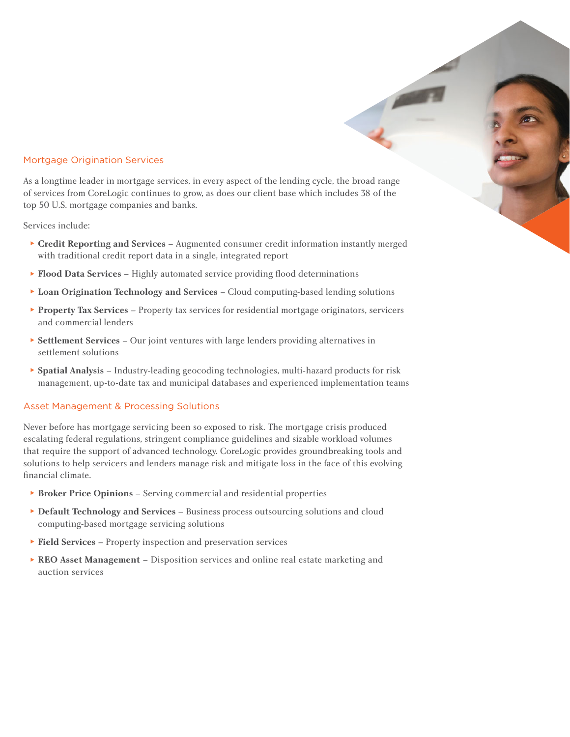#### Mortgage Origination Services

As a longtime leader in mortgage services, in every aspect of the lending cycle, the broad range of services from CoreLogic continues to grow, as does our client base which includes 38 of the top 50 U.S. mortgage companies and banks.

Services include:

- ► **Credit Reporting and Services**  Augmented consumer credit information instantly merged with traditional credit report data in a single, integrated report
- ▶ **Flood Data Services** Highly automated service providing flood determinations
- ► **Loan Origination Technology and Services**  Cloud computing-based lending solutions
- ► **Property Tax Services**  Property tax services for residential mortgage originators, servicers and commercial lenders
- ► **Settlement Services**  Our joint ventures with large lenders providing alternatives in settlement solutions
- ► **Spatial Analysis**  Industry-leading geocoding technologies, multi-hazard products for risk management, up-to-date tax and municipal databases and experienced implementation teams

#### Asset Management & Processing Solutions

Never before has mortgage servicing been so exposed to risk. The mortgage crisis produced escalating federal regulations, stringent compliance guidelines and sizable workload volumes that require the support of advanced technology. CoreLogic provides groundbreaking tools and solutions to help servicers and lenders manage risk and mitigate loss in the face of this evolving financial climate.

- ► **Broker Price Opinions**  Serving commercial and residential properties
- ► **Default Technology and Services**  Business process outsourcing solutions and cloud computing-based mortgage servicing solutions
- ► **Field Services**  Property inspection and preservation services
- ► **REO Asset Management**  Disposition services and online real estate marketing and auction services